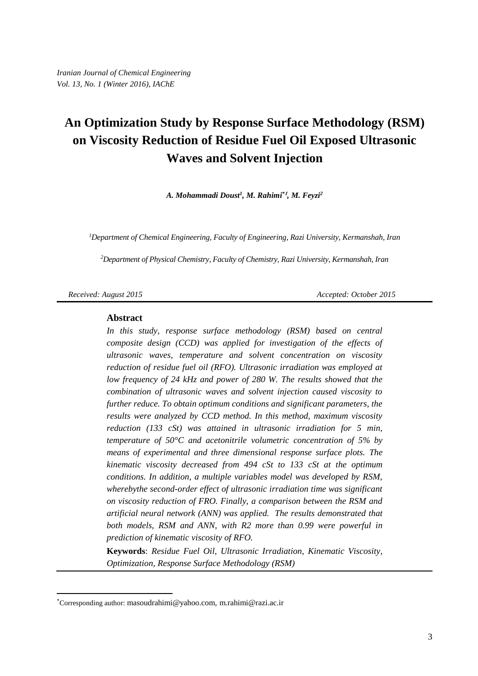# **An Optimization Study by Response Surface Methodology (RSM) on Viscosity Reduction of Residue Fuel Oil Exposed Ultrasonic Waves and Solvent Injection**

*A. Mohammadi Doust<sup>1</sup> , M. Rahimi\****<sup>1</sup>** *, M. Feyzi<sup>2</sup>*

*<sup>1</sup>Department of Chemical Engineering, Faculty of Engineering, Razi University, Kermanshah, Iran*

*<sup>2</sup>Department of Physical Chemistry, Faculty of Chemistry, Razi University, Kermanshah, Iran*

 $\overline{a}$ 

*Received: August 2015 Accepted: October 2015*

#### **Abstract**

*In this study, response surface methodology (RSM) based on central composite design (CCD) was applied for investigation of the effects of ultrasonic waves, temperature and solvent concentration on viscosity reduction of residue fuel oil (RFO). Ultrasonic irradiation was employed at low frequency of 24 kHz and power of 280 W. The results showed that the combination of ultrasonic waves and solvent injection caused viscosity to further reduce. To obtain optimum conditions and significant parameters, the results were analyzed by CCD method. In this method, maximum viscosity reduction (133 cSt) was attained in ultrasonic irradiation for 5 min, temperature of 50°C and acetonitrile volumetric concentration of 5% by means of experimental and three dimensional response surface plots. The kinematic viscosity decreased from 494 cSt to 133 cSt at the optimum conditions. In addition, a multiple variables model was developed by RSM, wherebythe second-order effect of ultrasonic irradiation time was significant on viscosity reduction of FRO. Finally, a comparison between the RSM and artificial neural network (ANN) was applied. The results demonstrated that both models, RSM and ANN, with R2 more than 0.99 were powerful in prediction of kinematic viscosity of RFO.*

**Keywords**: *Residue Fuel Oil, Ultrasonic Irradiation, Kinematic Viscosity, Optimization, Response Surface Methodology (RSM)*

<sup>\*</sup>Corresponding author: [masoudrahimi@yahoo.com,](mailto:masoudrahimi@yahoo.com) m.rahimi@razi.ac.ir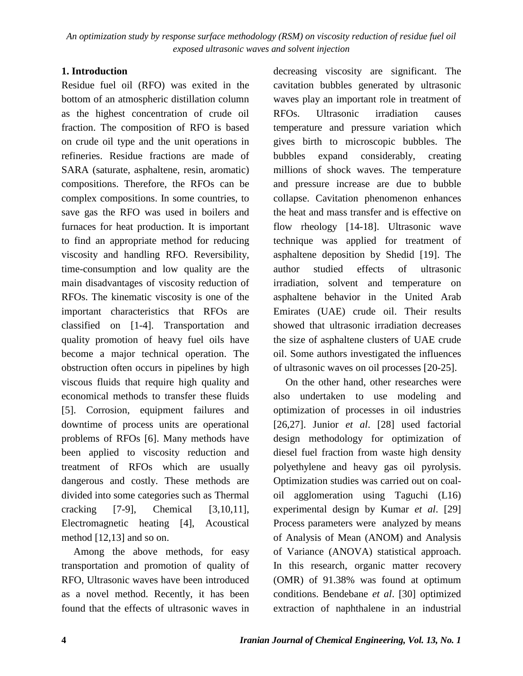# **1. Introduction**

Residue fuel oil (RFO) was exited in the bottom of an atmospheric distillation column as the highest concentration of crude oil fraction. The composition of RFO is based on crude oil type and the unit operations in refineries. Residue fractions are made of SARA (saturate, asphaltene, resin, aromatic) compositions. Therefore, the RFOs can be complex compositions. In some countries, to save gas the RFO was used in boilers and furnaces for heat production. It is important to find an appropriate method for reducing viscosity and handling RFO. Reversibility, time-consumption and low quality are the main disadvantages of viscosity reduction of RFOs. The kinematic viscosity is one of the important characteristics that RFOs are classified on [1-4]. Transportation and quality promotion of heavy fuel oils have become a major technical operation. The obstruction often occurs in pipelines by high viscous fluids that require high quality and economical methods to transfer these fluids [5]. Corrosion, equipment failures and downtime of process units are operational problems of RFOs [6]. Many methods have been applied to viscosity reduction and treatment of RFOs which are usually dangerous and costly. These methods are divided into some categories such as Thermal cracking [7-9], Chemical [3,10,11], Electromagnetic heating [4], Acoustical method [12,13] and so on.

Among the above methods, for easy transportation and promotion of quality of RFO, Ultrasonic waves have been introduced as a novel method. Recently, it has been found that the effects of ultrasonic waves in decreasing viscosity are significant. The cavitation bubbles generated by ultrasonic waves play an important role in treatment of RFOs. Ultrasonic irradiation causes temperature and pressure variation which gives birth to microscopic bubbles. The bubbles expand considerably, creating millions of shock waves. The temperature and pressure increase are due to bubble collapse. Cavitation phenomenon enhances the heat and mass transfer and is effective on flow rheology [14-18]. Ultrasonic wave technique was applied for treatment of asphaltene deposition by Shedid [19]. The author studied effects of ultrasonic irradiation, solvent and temperature on asphaltene behavior in the United Arab Emirates (UAE) crude oil. Their results showed that ultrasonic irradiation decreases the size of asphaltene clusters of UAE crude oil. Some authors investigated the influences of ultrasonic waves on oil processes [20-25].

On the other hand, other researches were also undertaken to use modeling and optimization of processes in oil industries [26,27]. Junior *et al*. [28] used factorial design methodology for optimization of diesel fuel fraction from waste high density polyethylene and heavy gas oil pyrolysis. Optimization studies was carried out on coaloil agglomeration using Taguchi (L16) experimental design by Kumar *et al*. [29] Process parameters were analyzed by means of Analysis of Mean (ANOM) and Analysis of Variance (ANOVA) statistical approach. In this research, organic matter recovery (OMR) of 91.38% was found at optimum conditions. Bendebane *et al*. [30] optimized extraction of naphthalene in an industrial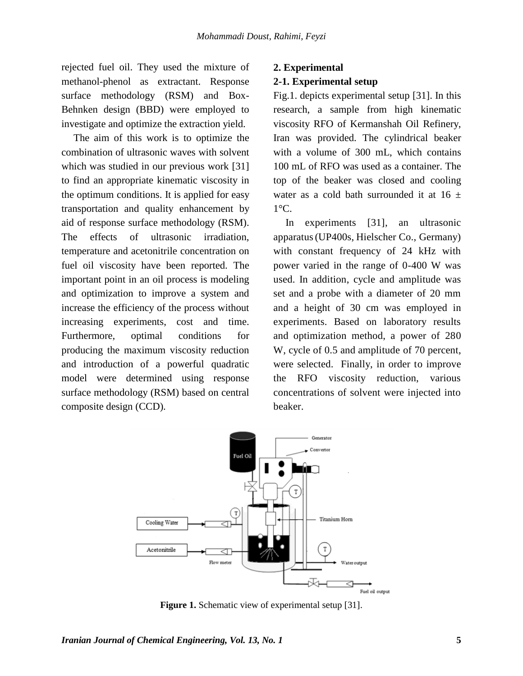rejected fuel oil. They used the mixture of methanol-phenol as extractant. Response surface methodology (RSM) and Box-Behnken design (BBD) were employed to investigate and optimize the extraction yield.

The aim of this work is to optimize the combination of ultrasonic waves with solvent which was studied in our previous work [31] to find an appropriate kinematic viscosity in the optimum conditions. It is applied for easy transportation and quality enhancement by aid of response surface methodology (RSM). The effects of ultrasonic irradiation, temperature and acetonitrile concentration on fuel oil viscosity have been reported. The important point in an oil process is modeling and optimization to improve a system and increase the efficiency of the process without increasing experiments, cost and time. Furthermore, optimal conditions for producing the maximum viscosity reduction and introduction of a powerful quadratic model were determined using response surface methodology (RSM) based on central composite design (CCD).

#### **2. Experimental**

#### **2-1. Experimental setup**

Fig.1. depicts experimental setup [31]. In this research, a sample from high kinematic viscosity RFO of Kermanshah Oil Refinery, Iran was provided. The cylindrical beaker with a volume of 300 mL, which contains 100 mL of RFO was used as a container. The top of the beaker was closed and cooling water as a cold bath surrounded it at  $16 \pm$  $1^{\circ}C$ .

In experiments [31], an ultrasonic apparatus(UP400s, Hielscher Co., Germany) with constant frequency of 24 kHz with power varied in the range of 0-400 W was used. In addition, cycle and amplitude was set and a probe with a diameter of 20 mm and a height of 30 cm was employed in experiments. Based on laboratory results and optimization method, a power of 280 W, cycle of 0.5 and amplitude of 70 percent, were selected. Finally, in order to improve the RFO viscosity reduction, various concentrations of solvent were injected into beaker.



**Figure 1.** Schematic view of experimental setup [31].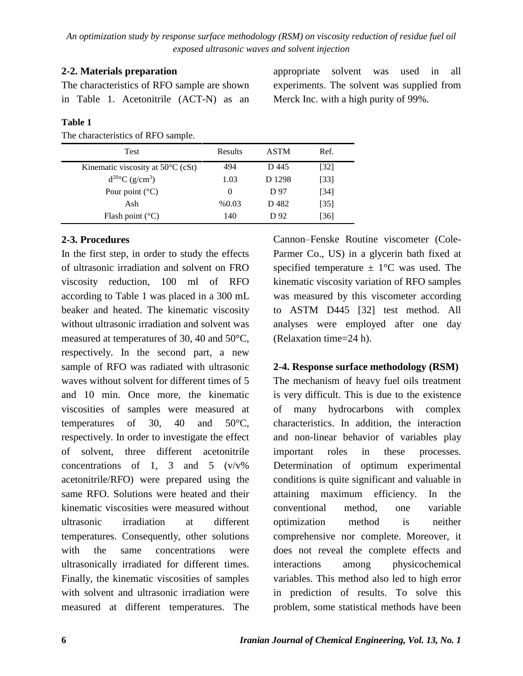# **2-2. Materials preparation**

The characteristics of RFO sample are shown in Table 1. Acetonitrile (ACT-N) as an

## **Table 1**

The characteristics of RFO sample.

| Test                                        | Results  | <b>ASTM</b> | Ref.   |  |
|---------------------------------------------|----------|-------------|--------|--|
| Kinematic viscosity at $50^{\circ}$ C (cSt) | 494      | D 445       | $[32]$ |  |
| $d^{20\circ}C$ (g/cm <sup>3</sup> )         | 1.03     | D 1298      | [33]   |  |
| Pour point $(^{\circ}C)$                    | $\theta$ | D 97        | [34]   |  |
| Ash                                         | % 0.03   | D 482       | [35]   |  |
| Flash point $(^{\circ}C)$                   | 140      | D 92        | [36]   |  |

# **2-3. Procedures**

In the first step, in order to study the effects of ultrasonic irradiation and solvent on FRO viscosity reduction, 100 ml of RFO according to Table 1 was placed in a 300 mL beaker and heated. The kinematic viscosity without ultrasonic irradiation and solvent was measured at temperatures of 30, 40 and 50°C, respectively. In the second part, a new sample of RFO was radiated with ultrasonic waves without solvent for different times of 5 and 10 min. Once more, the kinematic viscosities of samples were measured at temperatures of 30, 40 and 50°C, respectively. In order to investigate the effect of solvent, three different acetonitrile concentrations of 1, 3 and 5  $(v/v\%)$ acetonitrile/RFO) were prepared using the same RFO. Solutions were heated and their kinematic viscosities were measured without ultrasonic irradiation at different temperatures. Consequently, other solutions with the same concentrations were ultrasonically irradiated for different times. Finally, the kinematic viscosities of samples with solvent and ultrasonic irradiation were measured at different temperatures. The

Cannon–Fenske Routine viscometer (Cole-Parmer Co., US) in a glycerin bath fixed at specified temperature  $\pm$  1°C was used. The kinematic viscosity variation of RFO samples was measured by this viscometer according to ASTM D445 [32] test method. All analyses were employed after one day (Relaxation time=24 h).

# **2-4. Response surface methodology (RSM)**

The mechanism of heavy fuel oils treatment is very difficult. This is due to the existence of many hydrocarbons with complex characteristics. In addition, the interaction and non-linear behavior of variables play important roles in these processes. Determination of optimum experimental conditions is quite significant and valuable in attaining maximum efficiency. In the conventional method, one variable optimization method is neither comprehensive nor complete. Moreover, it does not reveal the complete effects and interactions among physicochemical variables. This method also led to high error in prediction of results. To solve this problem, some statistical methods have been

appropriate solvent was used in all experiments. The solvent was supplied from Merck Inc. with a high purity of 99%.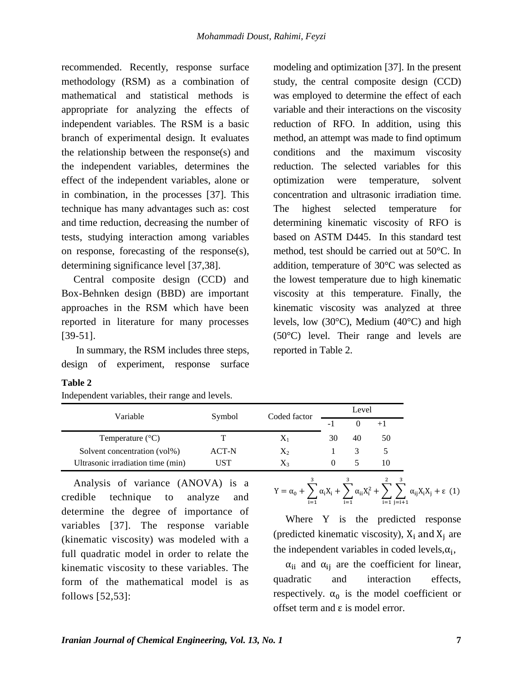recommended. Recently, response surface methodology (RSM) as a combination of mathematical and statistical methods is appropriate for analyzing the effects of independent variables. The RSM is a basic branch of experimental design. It evaluates the relationship between the response(s) and the independent variables, determines the effect of the independent variables, alone or in combination, in the processes [37]. This technique has many advantages such as: cost and time reduction, decreasing the number of tests, studying interaction among variables on response, forecasting of the response(s), determining significance level [37,38].

Central composite design (CCD) and Box-Behnken design (BBD) are important approaches in the RSM which have been reported in literature for many processes [39-51].

In summary, the RSM includes three steps, design of experiment, response surface

modeling and optimization [37]. In the present study, the central composite design (CCD) was employed to determine the effect of each variable and their interactions on the viscosity reduction of RFO. In addition, using this method, an attempt was made to find optimum conditions and the maximum viscosity reduction. The selected variables for this optimization were temperature, solvent concentration and ultrasonic irradiation time. The highest selected temperature for determining kinematic viscosity of RFO is based on ASTM D445. In this standard test method, test should be carried out at 50°C. In addition, temperature of 30°C was selected as the lowest temperature due to high kinematic viscosity at this temperature. Finally, the kinematic viscosity was analyzed at three levels, low  $(30^{\circ}C)$ , Medium  $(40^{\circ}C)$  and high (50°C) level. Their range and levels are reported in Table 2.

#### **Table 2**

Independent variables, their range and levels.

| Variable                          | Symbol | Coded factor | Level          |    |    |
|-----------------------------------|--------|--------------|----------------|----|----|
|                                   |        |              | $\overline{a}$ |    |    |
| Temperature $(^{\circ}C)$         |        | $X_1$        | 30             | 40 | 50 |
| Solvent concentration (vol%)      | ACT-N  | $X_2$        |                |    |    |
| Ultrasonic irradiation time (min) | UST    | X3           |                |    |    |

Analysis of variance (ANOVA) is a credible technique to analyze and determine the degree of importance of variables [37]. The response variable (kinematic viscosity) was modeled with a full quadratic model in order to relate the kinematic viscosity to these variables. The form of the mathematical model is as follows [52,53]:

$$
Y = \alpha_0 + \sum_{i=1}^{3} \alpha_i X_i + \sum_{i=1}^{3} \alpha_{ii} X_i^2 + \sum_{i=1}^{2} \sum_{j=i+1}^{3} \alpha_{ij} X_i X_j + \epsilon
$$
 (1)

Where Y is the predicted response (predicted kinematic viscosity),  $X_i$  and  $X_i$  are the independent variables in coded levels,  $\alpha_i$ ,

 $\alpha_{ii}$  and  $\alpha_{ii}$  are the coefficient for linear, quadratic and interaction effects, respectively.  $\alpha_0$  is the model coefficient or offset term and ε is model error.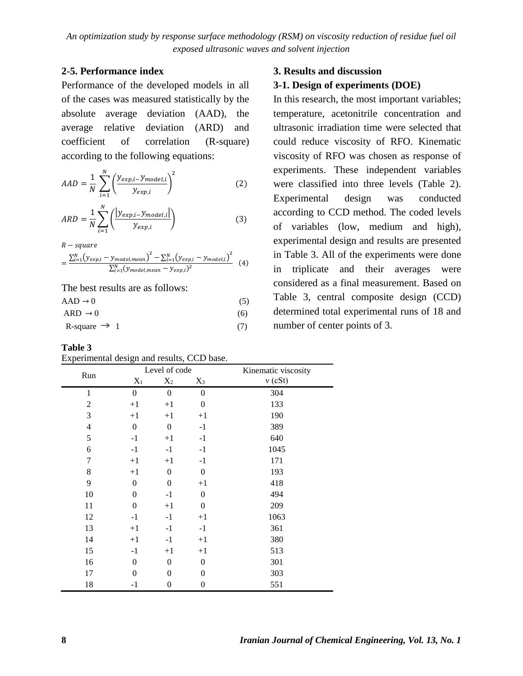## **2-5. Performance index**

Performance of the developed models in all of the cases was measured statistically by the absolute average deviation (AAD), the average relative deviation (ARD) and coefficient of correlation (R-square) according to the following equations:

$$
AAD = \frac{1}{N} \sum_{i=1}^{N} \left( \frac{y_{exp,i} - y_{model,i}}{y_{exp,i}} \right)^2
$$
 (2)

$$
ARD = \frac{1}{N} \sum_{i=1}^{N} \left( \frac{|y_{exp,i} - y_{model,i}|}{y_{exp,i}} \right)
$$
(3)

 $R$  – square

$$
= \frac{\sum_{i=1}^{N} (y_{exp,i} - y_{model,mean})^2 - \sum_{i=1}^{N} (y_{exp,i} - y_{model,i})^2}{\sum_{i=1}^{N} (y_{model,mean} - y_{exp,i})^2}
$$
(4)

The best results are as follows:

$$
ARD \rightarrow 0
$$
 (5)  
ARD  $\rightarrow 0$  (6)  
R-square  $\rightarrow 1$  (7)

$$
K-square \rightarrow 1
$$

**Table 3**

| Experimental design and results, CCD base. |  |  |  |
|--------------------------------------------|--|--|--|
|                                            |  |  |  |
|                                            |  |  |  |

## **3. Results and discussion**

## **3-1. Design of experiments (DOE)**

In this research, the most important variables; temperature, acetonitrile concentration and ultrasonic irradiation time were selected that could reduce viscosity of RFO. Kinematic viscosity of RFO was chosen as response of experiments. These independent variables were classified into three levels (Table 2). Experimental design was conducted according to CCD method. The coded levels of variables (low, medium and high), experimental design and results are presented in Table 3. All of the experiments were done in triplicate and their averages were considered as a final measurement. Based on Table 3, central composite design (CCD) determined total experimental runs of 18 and number of center points of 3.

|                |                  | Level of code    |                  | Kinematic viscosity |
|----------------|------------------|------------------|------------------|---------------------|
| Run            | $X_1$            | $X_2$            | $X_3$            | $v$ (cSt)           |
| 1              | $\boldsymbol{0}$ | $\boldsymbol{0}$ | $\mathbf{0}$     | 304                 |
| 2              | $+1$             | $+1$             | $\boldsymbol{0}$ | 133                 |
| 3              | $+1$             | $+1$             | $+1$             | 190                 |
| $\overline{4}$ | $\boldsymbol{0}$ | $\boldsymbol{0}$ | $-1$             | 389                 |
| 5              | $-1$             | $+1$             | $-1$             | 640                 |
| 6              | $-1$             | $-1$             | $-1$             | 1045                |
| 7              | $+1$             | $+1$             | $-1$             | 171                 |
| 8              | $+1$             | $\boldsymbol{0}$ | $\theta$         | 193                 |
| 9              | $\overline{0}$   | $\mathbf{0}$     | $+1$             | 418                 |
| 10             | $\theta$         | $-1$             | $\overline{0}$   | 494                 |
| 11             | $\theta$         | $+1$             | $\boldsymbol{0}$ | 209                 |
| 12             | $-1$             | $-1$             | $+1$             | 1063                |
| 13             | $+1$             | $-1$             | $-1$             | 361                 |
| 14             | $+1$             | $-1$             | $+1$             | 380                 |
| 15             | $-1$             | $+1$             | $+1$             | 513                 |
| 16             | $\theta$         | $\theta$         | $\overline{0}$   | 301                 |
| 17             | $\theta$         | $\Omega$         | $\theta$         | 303                 |
| 18             | -1               | $\overline{0}$   | $\boldsymbol{0}$ | 551                 |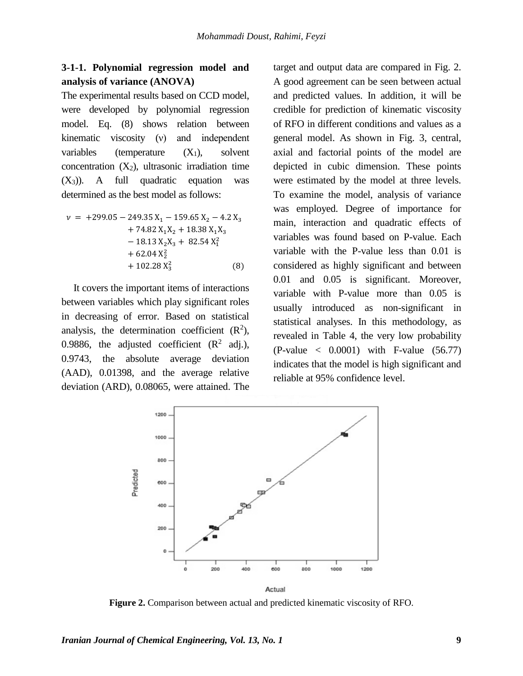# **3-1-1. Polynomial regression model and analysis of variance (ANOVA)**

The experimental results based on CCD model, were developed by polynomial regression model. Eq. (8) shows relation between kinematic viscosity (ν) and independent variables (temperature  $(X_1)$ , solvent concentration  $(X_2)$ , ultrasonic irradiation time  $(X_3)$ ). A full quadratic equation was determined as the best model as follows:

$$
\nu = +299.05 - 249.35 X_1 - 159.65 X_2 - 4.2 X_3 \n+ 74.82 X_1 X_2 + 18.38 X_1 X_3 \n- 18.13 X_2 X_3 + 82.54 X_1^2 \n+ 62.04 X_2^2 \n+ 102.28 X_3^2
$$
\n(8)

It covers the important items of interactions between variables which play significant roles in decreasing of error. Based on statistical analysis, the determination coefficient  $(R^2)$ , 0.9886, the adjusted coefficient  $(R^2 \text{ adj.})$ , 0.9743, the absolute average deviation (AAD), 0.01398, and the average relative deviation (ARD), 0.08065, were attained. The

target and output data are compared in Fig. 2. A good agreement can be seen between actual and predicted values. In addition, it will be credible for prediction of kinematic viscosity of RFO in different conditions and values as a general model. As shown in Fig. 3, central, axial and factorial points of the model are depicted in cubic dimension. These points were estimated by the model at three levels. To examine the model, analysis of variance was employed. Degree of importance for main, interaction and quadratic effects of variables was found based on P-value. Each variable with the P-value less than 0.01 is considered as highly significant and between 0.01 and 0.05 is significant. Moreover, variable with P-value more than 0.05 is usually introduced as non-significant in statistical analyses. In this methodology, as revealed in Table 4, the very low probability  $(P-value < 0.0001)$  with F-value  $(56.77)$ indicates that the model is high significant and reliable at 95% confidence level.



**Figure 2.** Comparison between actual and predicted kinematic viscosity of RFO.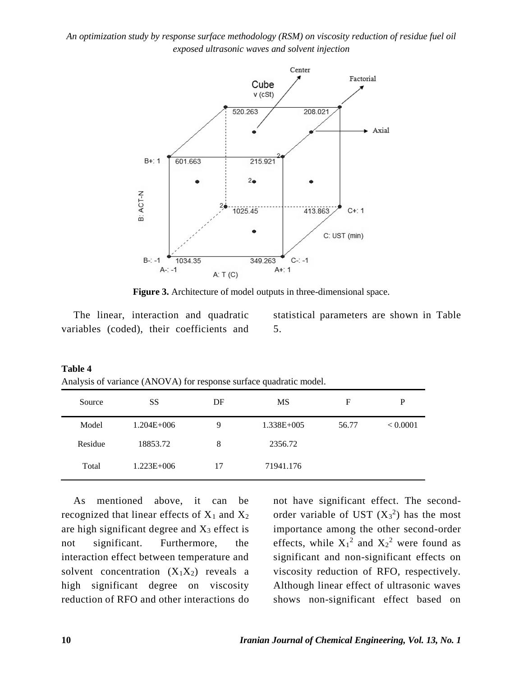

**Figure 3.** Architecture of model outputs in three-dimensional space.

The linear, interaction and quadratic variables (coded), their coefficients and statistical parameters are shown in Table 5.

| Analysis of variance (ANOVA) for response surface quadratic model. |                 |    |                |       |          |
|--------------------------------------------------------------------|-----------------|----|----------------|-------|----------|
| Source                                                             | SS              | DF | MS             | F     | P        |
| Model                                                              | $1.204E + 006$  | 9  | $1.338E + 005$ | 56.77 | < 0.0001 |
| Residue                                                            | 18853.72        | 8  | 2356.72        |       |          |
| Total                                                              | $1.223E + 0.06$ | 17 | 71941.176      |       |          |

| Table 4 |  |
|---------|--|
|---------|--|

As mentioned above, it can be recognized that linear effects of  $X_1$  and  $X_2$ are high significant degree and  $X_3$  effect is not significant. Furthermore, the interaction effect between temperature and solvent concentration  $(X_1X_2)$  reveals a high significant degree on viscosity reduction of RFO and other interactions do not have significant effect. The secondorder variable of UST  $(X_3^2)$  has the most importance among the other second-order effects, while  $X_1^2$  and  $X_2^2$  were found as significant and non-significant effects on viscosity reduction of RFO, respectively. Although linear effect of ultrasonic waves shows non-significant effect based on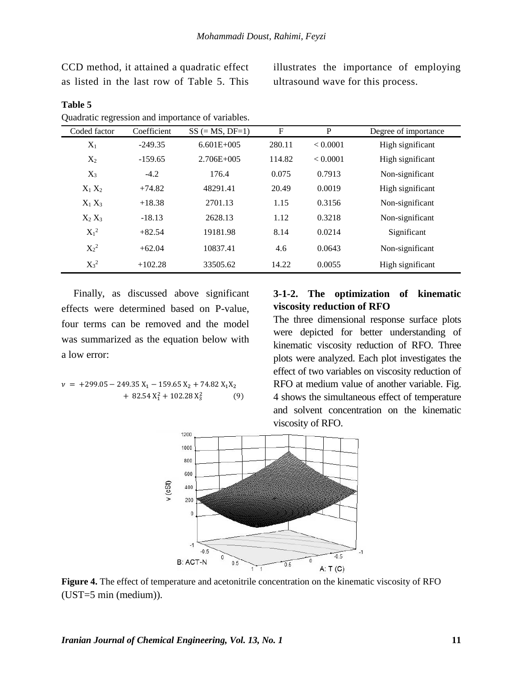CCD method, it attained a quadratic effect as listed in the last row of Table 5. This

illustrates the importance of employing ultrasound wave for this process.

| Coded factor | Coefficient | $SS (= MS, DF=1)$ | F      | P        | Degree of importance |
|--------------|-------------|-------------------|--------|----------|----------------------|
| $X_1$        | $-249.35$   | $6.601E + 005$    | 280.11 | < 0.0001 | High significant     |
| $X_2$        | $-159.65$   | $2.706E + 005$    | 114.82 | < 0.0001 | High significant     |
| $X_3$        | $-4.2$      | 176.4             | 0.075  | 0.7913   | Non-significant      |
| $X_1 X_2$    | $+74.82$    | 48291.41          | 20.49  | 0.0019   | High significant     |
| $X_1 X_3$    | $+18.38$    | 2701.13           | 1.15   | 0.3156   | Non-significant      |
| $X_2 X_3$    | $-18.13$    | 2628.13           | 1.12   | 0.3218   | Non-significant      |
| $X_1^2$      | $+82.54$    | 19181.98          | 8.14   | 0.0214   | Significant          |
| $X_2^2$      | $+62.04$    | 10837.41          | 4.6    | 0.0643   | Non-significant      |
| $X_3^2$      | $+102.28$   | 33505.62          | 14.22  | 0.0055   | High significant     |

## **Table 5** Quadratic regression and importance of variables.

Finally, as discussed above significant effects were determined based on P-value, four terms can be removed and the model was summarized as the equation below with a low error:

$$
\begin{aligned} \nu &= +299.05 - 249.35 \, \text{X}_1 - 159.65 \, \text{X}_2 + 74.82 \, \text{X}_1 \text{X}_2 \\ &+ 82.54 \, \text{X}_1^2 + 102.28 \, \text{X}_3^2 \end{aligned} \tag{9}
$$

## **3-1-2. The optimization of kinematic viscosity reduction of RFO**

The three dimensional response surface plots were depicted for better understanding of kinematic viscosity reduction of RFO. Three plots were analyzed. Each plot investigates the effect of two variables on viscosity reduction of RFO at medium value of another variable. Fig. 4 shows the simultaneous effect of temperature and solvent concentration on the kinematic viscosity of RFO.



**Figure 4.** The effect of temperature and acetonitrile concentration on the kinematic viscosity of RFO (UST=5 min (medium)).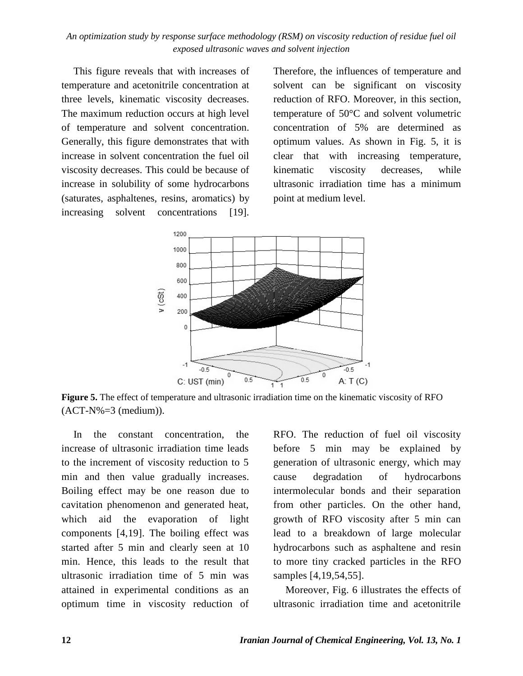This figure reveals that with increases of temperature and acetonitrile concentration at three levels, kinematic viscosity decreases. The maximum reduction occurs at high level of temperature and solvent concentration. Generally, this figure demonstrates that with increase in solvent concentration the fuel oil viscosity decreases. This could be because of increase in solubility of some hydrocarbons (saturates, asphaltenes, resins, aromatics) by increasing solvent concentrations [19]. Therefore, the influences of temperature and solvent can be significant on viscosity reduction of RFO. Moreover, in this section, temperature of 50°C and solvent volumetric concentration of 5% are determined as optimum values. As shown in Fig. 5, it is clear that with increasing temperature, kinematic viscosity decreases, while ultrasonic irradiation time has a minimum point at medium level.



**Figure 5.** The effect of temperature and ultrasonic irradiation time on the kinematic viscosity of RFO  $(ACT-N%=3 (medium)).$ 

In the constant concentration, the increase of ultrasonic irradiation time leads to the increment of viscosity reduction to 5 min and then value gradually increases. Boiling effect may be one reason due to cavitation phenomenon and generated heat, which aid the evaporation of light components [4,19]. The boiling effect was started after 5 min and clearly seen at 10 min. Hence, this leads to the result that ultrasonic irradiation time of 5 min was attained in experimental conditions as an optimum time in viscosity reduction of

RFO. The reduction of fuel oil viscosity before 5 min may be explained by generation of ultrasonic energy, which may cause degradation of hydrocarbons intermolecular bonds and their separation from other particles. On the other hand, growth of RFO viscosity after 5 min can lead to a breakdown of large molecular hydrocarbons such as asphaltene and resin to more tiny cracked particles in the RFO samples [4,19,54,55].

Moreover, Fig. 6 illustrates the effects of ultrasonic irradiation time and acetonitrile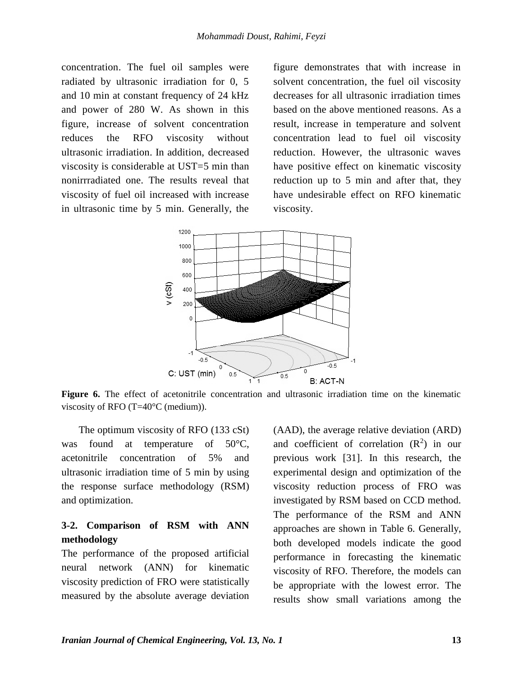concentration. The fuel oil samples were radiated by ultrasonic irradiation for 0, 5 and 10 min at constant frequency of 24 kHz and power of 280 W. As shown in this figure, increase of solvent concentration reduces the RFO viscosity without ultrasonic irradiation. In addition, decreased viscosity is considerable at UST=5 min than nonirrradiated one. The results reveal that viscosity of fuel oil increased with increase in ultrasonic time by 5 min. Generally, the

figure demonstrates that with increase in solvent concentration, the fuel oil viscosity decreases for all ultrasonic irradiation times based on the above mentioned reasons. As a result, increase in temperature and solvent concentration lead to fuel oil viscosity reduction. However, the ultrasonic waves have positive effect on kinematic viscosity reduction up to 5 min and after that, they have undesirable effect on RFO kinematic viscosity.



**Figure 6.** The effect of acetonitrile concentration and ultrasonic irradiation time on the kinematic viscosity of RFO (T=40°C (medium)).

The optimum viscosity of RFO (133 cSt) was found at temperature of 50°C, acetonitrile concentration of 5% and ultrasonic irradiation time of 5 min by using the response surface methodology (RSM) and optimization.

# **3-2. Comparison of RSM with ANN methodology**

The performance of the proposed artificial neural network (ANN) for kinematic viscosity prediction of FRO were statistically measured by the absolute average deviation (AAD), the average relative deviation (ARD) and coefficient of correlation  $(R^2)$  in our previous work [31]. In this research, the experimental design and optimization of the viscosity reduction process of FRO was investigated by RSM based on CCD method. The performance of the RSM and ANN approaches are shown in Table 6. Generally, both developed models indicate the good performance in forecasting the kinematic viscosity of RFO. Therefore, the models can be appropriate with the lowest error. The results show small variations among the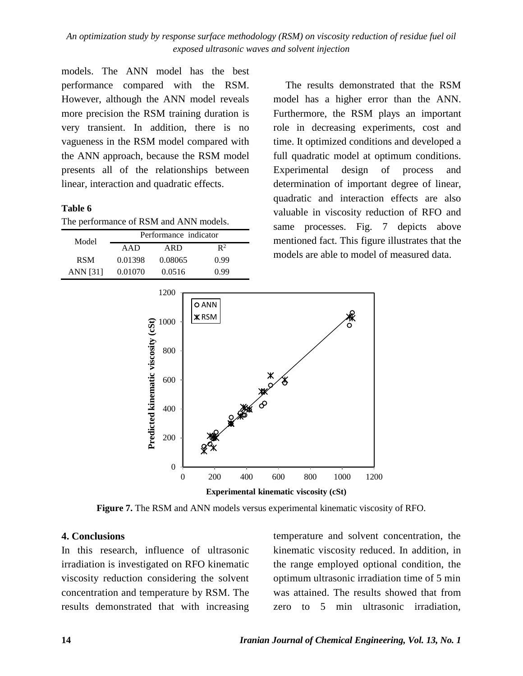models. The ANN model has the best performance compared with the RSM. However, although the ANN model reveals more precision the RSM training duration is very transient. In addition, there is no vagueness in the RSM model compared with the ANN approach, because the RSM model presents all of the relationships between linear, interaction and quadratic effects.

## **Table 6**

|  |  | The performance of RSM and ANN models. |
|--|--|----------------------------------------|
|--|--|----------------------------------------|

| Model      | Performance indicator |         |                |  |  |
|------------|-----------------------|---------|----------------|--|--|
|            | AAD                   | ARD     | $\mathbb{R}^2$ |  |  |
| <b>RSM</b> | 0.01398               | 0.08065 | 0.99           |  |  |
| ANN [31]   | 0.01070               | 0.0516  | O 99           |  |  |

The results demonstrated that the RSM model has a higher error than the ANN. Furthermore, the RSM plays an important role in decreasing experiments, cost and time. It optimized conditions and developed a full quadratic model at optimum conditions. Experimental design of process and determination of important degree of linear, quadratic and interaction effects are also valuable in viscosity reduction of RFO and same processes. Fig. 7 depicts above mentioned fact. This figure illustrates that the models are able to model of measured data.



**Figure 7.** The RSM and ANN models versus experimental kinematic viscosity of RFO.

## **4. Conclusions**

In this research, influence of ultrasonic irradiation is investigated on RFO kinematic viscosity reduction considering the solvent concentration and temperature by RSM. The results demonstrated that with increasing

temperature and solvent concentration, the kinematic viscosity reduced. In addition, in the range employed optional condition, the optimum ultrasonic irradiation time of 5 min was attained. The results showed that from zero to 5 min ultrasonic irradiation,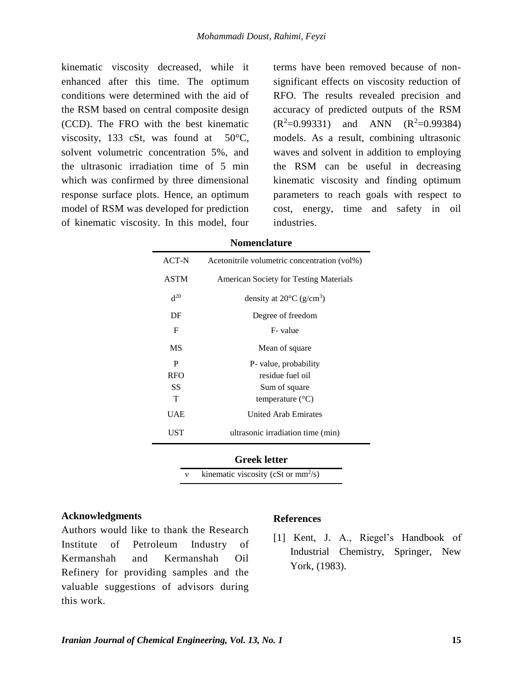kinematic viscosity decreased, while it enhanced after this time. The optimum conditions were determined with the aid of the RSM based on central composite design (CCD). The FRO with the best kinematic viscosity, 133 cSt, was found at  $50^{\circ}$ C, solvent volumetric concentration 5%, and the ultrasonic irradiation time of 5 min which was confirmed by three dimensional response surface plots. Hence, an optimum model of RSM was developed for prediction of kinematic viscosity. In this model, four

terms have been removed because of nonsignificant effects on viscosity reduction of RFO. The results revealed precision and accuracy of predicted outputs of the RSM  $(R^2=0.99331)$  and ANN  $(R^2=0.99384)$ models. As a result, combining ultrasonic waves and solvent in addition to employing the RSM can be useful in decreasing kinematic viscosity and finding optimum parameters to reach goals with respect to cost, energy, time and safety in oil industries.

#### **Nomenclature**

| ACT-N       | Acetonitrile volumetric concentration (vol%)   |
|-------------|------------------------------------------------|
| <b>ASTM</b> | <b>American Society for Testing Materials</b>  |
| $d^{20}$    | density at $20^{\circ}$ C (g/cm <sup>3</sup> ) |
| DF          | Degree of freedom                              |
| F           | F-value                                        |
| MS          | Mean of square                                 |
| P           | P- value, probability                          |
| <b>RFO</b>  | residue fuel oil                               |
| SS          | Sum of square                                  |
| T           | temperature $(^{\circ}C)$                      |
| UAE         | <b>United Arab Emirates</b>                    |
| UST         | ultrasonic irradiation time (min)              |

#### **Greek letter**

v kinematic viscosity (cSt or  $mm^2/s$ )

#### **Acknowledgments**

Authors would like to thank the Research Institute of Petroleum Industry of Kermanshah and Kermanshah Oil Refinery for providing samples and the valuable suggestions of advisors during this work.

#### **References**

[1] Kent, J. A., Riegel's Handbook of Industrial Chemistry, Springer, New York, (1983).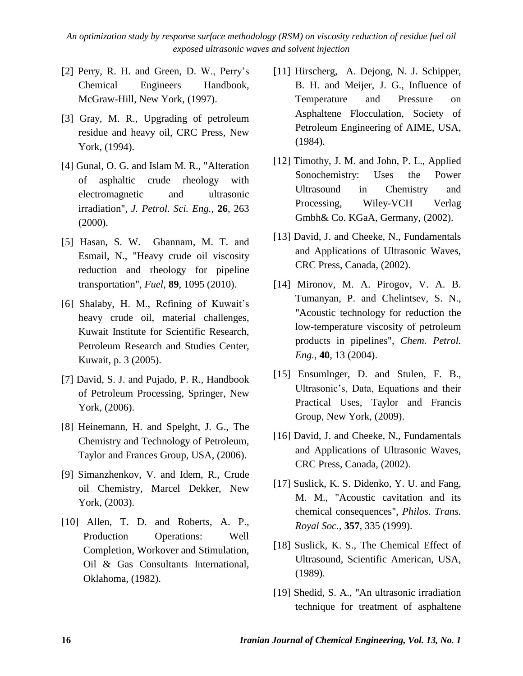- [2] Perry, R. H. and Green, D. W., Perry's Chemical Engineers Handbook, McGraw-Hill, New York, (1997).
- [3] Gray, M. R., Upgrading of petroleum residue and heavy oil, CRC Press, New York, (1994).
- [4] Gunal, O. G. and Islam M. R., "Alteration of asphaltic crude rheology with electromagnetic and ultrasonic irradiation", *J. Petrol. Sci. Eng.,* **26**, 263  $(2000).$
- [5] Hasan, S. W. Ghannam, M. T. and Esmail, N., "Heavy crude oil viscosity reduction and rheology for pipeline transportation", *Fuel,* **89**, 1095 (2010).
- [6] Shalaby, H. M., Refining of Kuwait's heavy crude oil, material challenges, Kuwait Institute for Scientific Research, Petroleum Research and Studies Center, Kuwait, p. 3 (2005).
- [7] David, S. J. and Pujado, P. R., Handbook of Petroleum Processing, Springer, New York, (2006).
- [8] Heinemann, H. and Spelght, J. G., The Chemistry and Technology of Petroleum, Taylor and Frances Group, USA, (2006).
- [9] Simanzhenkov, V. and Idem, R., Crude oil Chemistry, Marcel Dekker, New York, (2003).
- [10] Allen, T. D. and Roberts, A. P., Production Operations: Well Completion, Workover and Stimulation, Oil & Gas Consultants International, Oklahoma, (1982).
- [11] Hirscherg, A. Dejong, N. J. Schipper, B. H. and Meijer, J. G., Influence of Temperature and Pressure on Asphaltene Flocculation, Society of Petroleum Engineering of AIME, USA, (1984).
- [12] Timothy, J. M. and John, P. L., Applied Sonochemistry: Uses the Power Ultrasound in Chemistry and Processing, Wiley-VCH Verlag Gmbh& Co. KGaA, Germany, (2002).
- [13] David, J. and Cheeke, N., Fundamentals and Applications of Ultrasonic Waves, CRC Press, Canada, (2002).
- [14] Mironov, M. A. Pirogov, V. A. B. Tumanyan, P. and Chelintsev, S. N., "Acoustic technology for reduction the low-temperature viscosity of petroleum products in pipelines", *Chem. Petrol. Eng.,* **40**, 13 (2004).
- [15] Ensumlnger, D. and Stulen, F. B., Ultrasonic's, Data, Equations and their Practical Uses, Taylor and Francis Group, New York, (2009).
- [16] David, J. and Cheeke, N., Fundamentals and Applications of Ultrasonic Waves, CRC Press, Canada, (2002).
- [17] Suslick, K. S. Didenko, Y. U. and Fang, M. M., "Acoustic cavitation and its chemical consequences", *Philos. Trans. Royal Soc.,* **357**, 335 (1999).
- [18] Suslick, K. S., The Chemical Effect of Ultrasound, Scientific American, USA, (1989).
- [19] Shedid, S. A., "An ultrasonic irradiation technique for treatment of asphaltene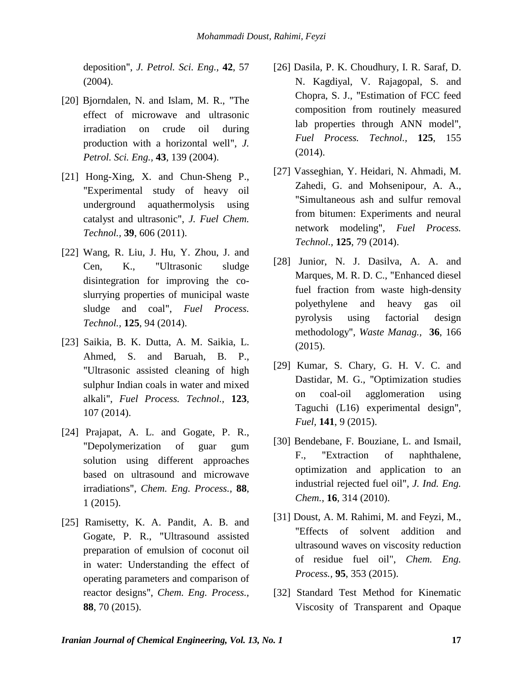deposition", *J. Petrol. Sci. Eng.,* **42**, 57 (2004).

- [20] Bjorndalen, N. and Islam, M. R., "The effect of microwave and ultrasonic irradiation on crude oil during production with a horizontal well", *J. Petrol. Sci. Eng.,* **43**, 139 (2004).
- [21] Hong-Xing, X. and Chun-Sheng P., "Experimental study of heavy oil underground aquathermolysis using catalyst and ultrasonic", *J. Fuel Chem. Technol.,* **39**, 606 (2011).
- [22] Wang, R. Liu, J. Hu, Y. Zhou, J. and Cen, K., "Ultrasonic sludge disintegration for improving the coslurrying properties of municipal waste sludge and coal", *Fuel Process. Technol.,* **125**, 94 (2014).
- [23] Saikia, B. K. Dutta, A. M. Saikia, L. Ahmed, S. and Baruah, B. P., "Ultrasonic assisted cleaning of high sulphur Indian coals in water and mixed alkali", *Fuel Process. Technol.,* **123**, 107 (2014).
- [24] Prajapat, A. L. and Gogate, P. R., "Depolymerization of guar gum solution using different approaches based on ultrasound and microwave irradiations", *Chem. Eng. Process.,* **88**, 1 (2015).
- [25] Ramisetty, K. A. Pandit, A. B. and Gogate, P. R., ["Ultrasound assisted](http://www.sciencedirect.com/science/article/pii/S0255270114002736)  [preparation of emulsion](http://www.sciencedirect.com/science/article/pii/S0255270114002736) of coconut oil in water: Understanding the effect of operating parameters and comparison of reactor designs", *Chem. Eng. Process.,* **88**, 70 (2015).
- [26] Dasila, P. K. Choudhury, I. R. Saraf, D. N. Kagdiyal, V. Rajagopal, S. and Chopra, S. J., "Estimation of FCC feed composition from routinely measured lab properties through ANN model", *Fuel Process. Technol.,* **125**, 155 (2014).
- [27] Vasseghian, Y. Heidari, N. Ahmadi, M. Zahedi, G. and Mohsenipour, A. A., "Simultaneous ash and sulfur removal from bitumen: Experiments and neural network modeling", *Fuel Process. Technol.,* **125**, 79 (2014).
- [28] Junior, N. J. Dasilva, A. A. and Marques, M. R. D. C., "Enhanced diesel fuel fraction from waste high-density polyethylene and heavy gas oil pyrolysis using factorial design methodology", *Waste Manag.,* **36**, 166 (2015).
- [29] Kumar, S. Chary, G. H. V. C. and Dastidar, M. G., "Optimization studies on coal-oil agglomeration using Taguchi (L16) experimental design", *Fuel,* **141**, 9 (2015).
- [30] Bendebane, F. Bouziane, L. and Ismail, F., "Extraction of naphthalene, optimization and application to an industrial rejected fuel oil", *J. Ind. Eng. Chem.,* **16**, 314 (2010).
- [31] Doust, A. M. Rahimi, M. and Feyzi, M., ["Effects of solvent addition and](http://www.sciencedirect.com/science/article/pii/S0255270115300659)  [ultrasound waves on viscosity reduction](http://www.sciencedirect.com/science/article/pii/S0255270115300659)  [of residue fuel oil"](http://www.sciencedirect.com/science/article/pii/S0255270115300659), *Chem. Eng. Process.,* **95**, 353 (2015).
- [32] Standard Test Method for Kinematic Viscosity of Transparent and Opaque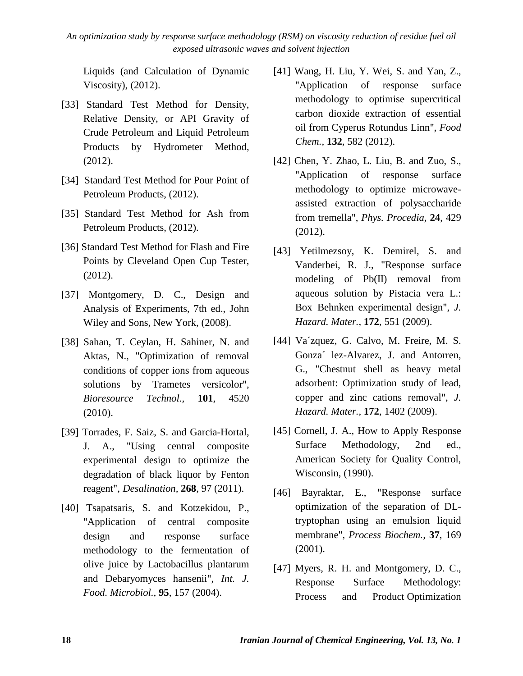Liquids (and Calculation of Dynamic Viscosity), (2012).

- [33] Standard Test Method for Density, Relative Density, or API Gravity of Crude Petroleum and Liquid Petroleum Products by Hydrometer Method, (2012).
- [34] Standard Test Method for Pour Point of Petroleum Products, (2012).
- [35] Standard Test Method for Ash from Petroleum Products, (2012).
- [36] Standard Test Method for Flash and Fire Points by Cleveland Open Cup Tester, (2012).
- [37] Montgomery, D. C., Design and Analysis of Experiments, 7th ed., John Wiley and Sons, New York, (2008).
- [38] Sahan, T. Ceylan, H. Sahiner, N. and Aktas, N., ["Optimization](http://www.sciencedirect.com/science/article/pii/S0960852410001914) of removal [conditions of copper ions from aqueous](http://www.sciencedirect.com/science/article/pii/S0960852410001914)  [solutions by Trametes](http://www.sciencedirect.com/science/article/pii/S0960852410001914) versicolor", *Bioresource Technol.,* **101**, 4520 (2010).
- [39] Torrades, F. Saiz, S. and Garcia-Hortal, J. A., "Using central composite experimental design to optimize the degradation of black liquor by Fenton reagent", *Desalination,* **268**, 97 (2011).
- [40] Tsapatsaris, S. and Kotzekidou, P., "Application of central composite design and response surface methodology to the fermentation of olive juice by Lactobacillus plantarum and Debaryomyces hansenii", *Int. J. Food. Microbiol.,* **95**, 157 (2004).
- [41] Wang, H. Liu, Y. Wei, S. and Yan, Z., "Application of response surface methodology to optimise supercritical carbon dioxide extraction of essential oil from Cyperus Rotundus Linn", *Food Chem.,* **132**, 582 (2012).
- [42] Chen, Y. Zhao, L. Liu, B. and Zuo, S., "Application of response surface methodology to optimize microwaveassisted extraction of polysaccharide from tremella", *Phys. Procedia,* **24**, 429 (2012).
- [43] Yetilmezsoy, K. Demirel, S. and Vanderbei, R. J., "Response surface modeling of Pb(II) removal from aqueous solution by Pistacia vera L.: Box–Behnken experimental design", *J. Hazard. Mater.,* **172**, 551 (2009).
- [44] Va´zquez, G. Calvo, M. Freire, M. S. Gonza´ lez-Alvarez, J. and Antorren, G., ["Chestnut shell as heavy metal](http://www.sciencedirect.com/science/article/pii/S0304389409012850)  [adsorbent: Optimization study of lead,](http://www.sciencedirect.com/science/article/pii/S0304389409012850)  [copper and zinc cations removal"](http://www.sciencedirect.com/science/article/pii/S0304389409012850), *J. Hazard. Mater.,* **172**, 1402 (2009).
- [45] Cornell, J. A., How to Apply Response Surface Methodology, 2nd ed., American Society for Quality Control, Wisconsin, (1990).
- [46] Bayraktar, E., ["Response surface](http://www.sciencedirect.com/science/article/pii/S0032959201001923)  [optimization of the separation of DL](http://www.sciencedirect.com/science/article/pii/S0032959201001923)[tryptophan using an emulsion liquid](http://www.sciencedirect.com/science/article/pii/S0032959201001923)  [membrane"](http://www.sciencedirect.com/science/article/pii/S0032959201001923), *Process Biochem.,* **37**, 169 (2001).
- [47] Myers, R. H. and Montgomery, D. C., Response Surface Methodology: Process and Product Optimization